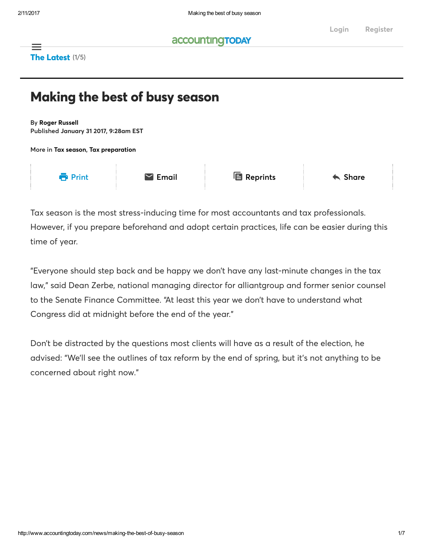### **accountingTODAY**

The Latest (1/5)  $\equiv$ 

# Making the best of busy season

By Roger [Russell](http://www.accountingtoday.com/author/roger-russell) Published January 31 2017, 9∶28am EST

More in Tax [season](http://www.accountingtoday.com/tag/tax-season), Tax [preparation](http://www.accountingtoday.com/tag/tax-preparation)



Tax season is the most stress-inducing time for most accountants and tax professionals. However, if you prepare beforehand and adopt certain practices, life can be easier during this time of year.

"Everyone should step back and be happy we don't have any last-minute changes in the tax law," said Dean Zerbe, national managing director for alliantgroup and former senior counsel to the Senate Finance Committee. "At least this year we don't have to understand what Congress did at midnight before the end of the year."

Don't be distracted by the questions most clients will have as a result of the election, he advised: "We'll see the outlines of tax reform by the end of spring, but it's not anything to be concerned about right now."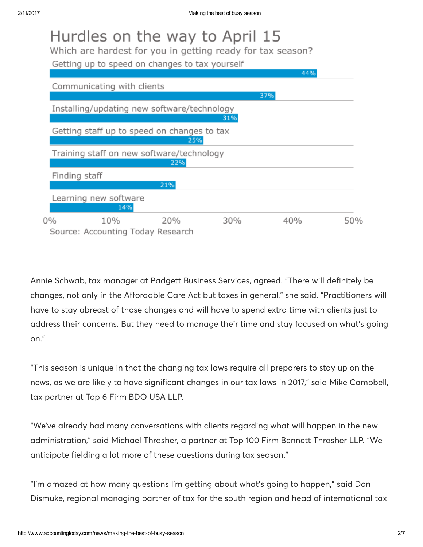|               |                              | Hurdles on the way to April 15<br>Which are hardest for you in getting ready for tax season?<br>Getting up to speed on changes to tax yourself |     | 44% |     |
|---------------|------------------------------|------------------------------------------------------------------------------------------------------------------------------------------------|-----|-----|-----|
|               | Communicating with clients   |                                                                                                                                                |     |     |     |
|               |                              |                                                                                                                                                |     | 37% |     |
|               |                              | Installing/updating new software/technology                                                                                                    | 31% |     |     |
|               |                              | Getting staff up to speed on changes to tax<br>25%                                                                                             |     |     |     |
|               |                              | Training staff on new software/technology<br>22%                                                                                               |     |     |     |
| Finding staff |                              | 21%                                                                                                                                            |     |     |     |
|               | Learning new software<br>14% |                                                                                                                                                |     |     |     |
| 0%            | 10%                          | 20%<br>Source: Accounting Today Research                                                                                                       | 30% | 40% | 50% |

Annie Schwab, tax manager at Padgett Business Services, agreed. "There will definitely be changes, not only in the Affordable Care Act but taxes in general," she said. "Practitioners will have to stay abreast of those changes and will have to spend extra time with clients just to address their concerns. But they need to manage their time and stay focused on what's going on."

"This season is unique in that the changing tax laws require all preparers to stay up on the news, as we are likely to have significant changes in our tax laws in 2017," said Mike Campbell, tax partner at Top 6 Firm BDO USA LLP.

"We've already had many conversations with clients regarding what will happen in the new administration," said Michael Thrasher, a partner at Top 100 Firm Bennett Thrasher LLP. "We anticipate fielding a lot more of these questions during tax season."

"I'm amazed at how many questions I'm getting about what's going to happen," said Don Dismuke, regional managing partner of tax for the south region and head of international tax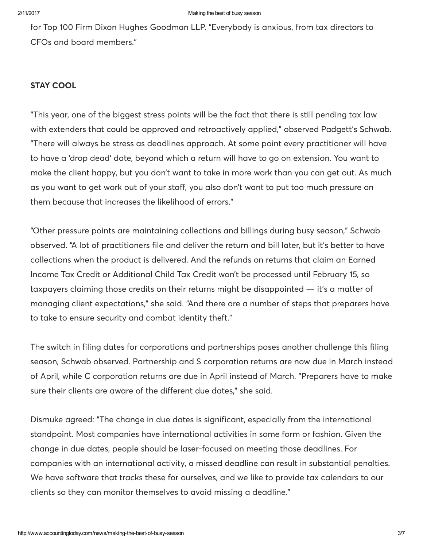for Top 100 Firm Dixon Hughes Goodman LLP. "Everybody is anxious, from tax directors to CFOs and board members."

### STAY COOL

"This year, one of the biggest stress points will be the fact that there is still pending tax law with extenders that could be approved and retroactively applied," observed Padgett's Schwab. "There will always be stress as deadlines approach. At some point every practitioner will have to have a 'drop dead' date, beyond which a return will have to go on extension. You want to make the client happy, but you don't want to take in more work than you can get out. As much as you want to get work out of your staff, you also don't want to put too much pressure on them because that increases the likelihood of errors."

"Other pressure points are maintaining collections and billings during busy season," Schwab observed. "A lot of practitioners file and deliver the return and bill later, but it's better to have collections when the product is delivered. And the refunds on returns that claim an Earned Income Tax Credit or Additional Child Tax Credit won't be processed until February 15, so taxpayers claiming those credits on their returns might be disappointed — it's a matter of managing client expectations," she said. "And there are a number of steps that preparers have to take to ensure security and combat identity theft."

The switch in filing dates for corporations and partnerships poses another challenge this filing season, Schwab observed. Partnership and S corporation returns are now due in March instead of April, while C corporation returns are due in April instead of March. "Preparers have to make sure their clients are aware of the different due dates," she said.

Dismuke agreed: "The change in due dates is significant, especially from the international standpoint. Most companies have international activities in some form or fashion. Given the change in due dates, people should be laser-focused on meeting those deadlines. For companies with an international activity, a missed deadline can result in substantial penalties. We have software that tracks these for ourselves, and we like to provide tax calendars to our clients so they can monitor themselves to avoid missing a deadline."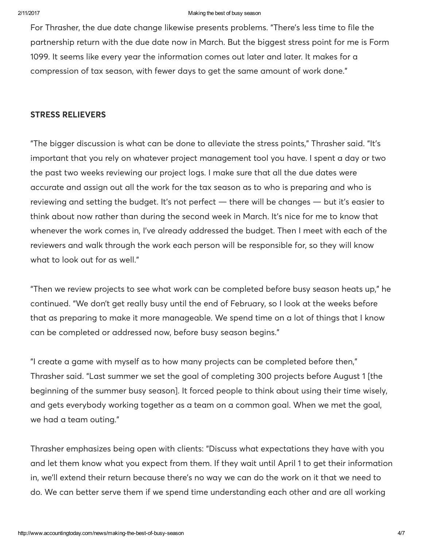#### 2/11/2017 Making the best of busy season

For Thrasher, the due date change likewise presents problems. "There's less time to file the partnership return with the due date now in March. But the biggest stress point for me is Form 1099. It seems like every year the information comes out later and later. It makes for a compression of tax season, with fewer days to get the same amount of work done."

### STRESS RELIEVERS

"The bigger discussion is what can be done to alleviate the stress points," Thrasher said. "It's important that you rely on whatever project management tool you have. I spent a day or two the past two weeks reviewing our project logs. I make sure that all the due dates were accurate and assign out all the work for the tax season as to who is preparing and who is reviewing and setting the budget. It's not perfect — there will be changes — but it's easier to think about now rather than during the second week in March. It's nice for me to know that whenever the work comes in, I've already addressed the budget. Then I meet with each of the reviewers and walk through the work each person will be responsible for, so they will know what to look out for as well."

"Then we review projects to see what work can be completed before busy season heats up," he continued. "We don't get really busy until the end of February, so I look at the weeks before that as preparing to make it more manageable. We spend time on a lot of things that I know can be completed or addressed now, before busy season begins."

"I create a game with myself as to how many projects can be completed before then," Thrasher said. "Last summer we set the goal of completing 300 projects before August 1 [the beginning of the summer busy season]. It forced people to think about using their time wisely, and gets everybody working together as a team on a common goal. When we met the goal, we had a team outing."

Thrasher emphasizes being open with clients: "Discuss what expectations they have with you and let them know what you expect from them. If they wait until April 1 to get their information in, we'll extend their return because there's no way we can do the work on it that we need to do. We can better serve them if we spend time understanding each other and are all working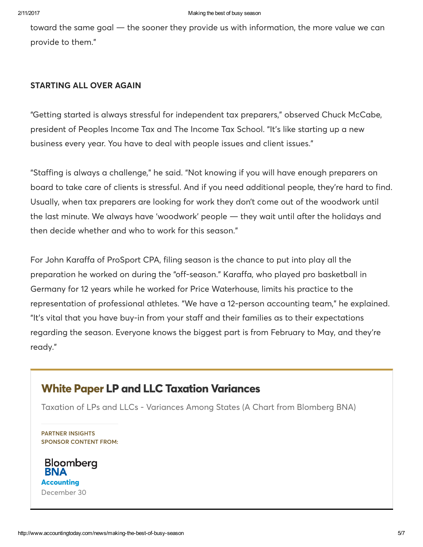toward the same goal — the sooner they provide us with information, the more value we can provide to them."

### STARTING ALL OVER AGAIN

"Getting started is always stressful for independent tax preparers," observed Chuck McCabe, president of Peoples Income Tax and The Income Tax School. "It's like starting up a new business every year. You have to deal with people issues and client issues."

"Staffing is always a challenge," he said. "Not knowing if you will have enough preparers on board to take care of clients is stressful. And if you need additional people, they're hard to find. Usually, when tax preparers are looking for work they don't come out of the woodwork until the last minute. We always have 'woodwork' people — they wait until after the holidays and then decide whether and who to work for this season."

For John Karaffa of ProSport CPA, filing season is the chance to put into play all the preparation he worked on during the "off-season." Karaffa, who played pro basketball in Germany for 12 years while he worked for Price Waterhouse, limits his practice to the representation of professional athletes. "We have a 12-person accounting team," he explained. "It's vital that you have buy-in from your staff and their families as to their expectations regarding the season. Everyone knows the biggest part is from February to May, and they're ready."

## White Paper LP and LLC Taxation [Variances](http://www.accountingtoday.com/partnerinsights/bloomberg-bna/whitepaper/state-taxation-variances)

Taxation of LPs and LLCs - Variances Among States (A Chart from Blomberg BNA)

PARTNER INSIGHTS SPONSOR CONTENT FROM: